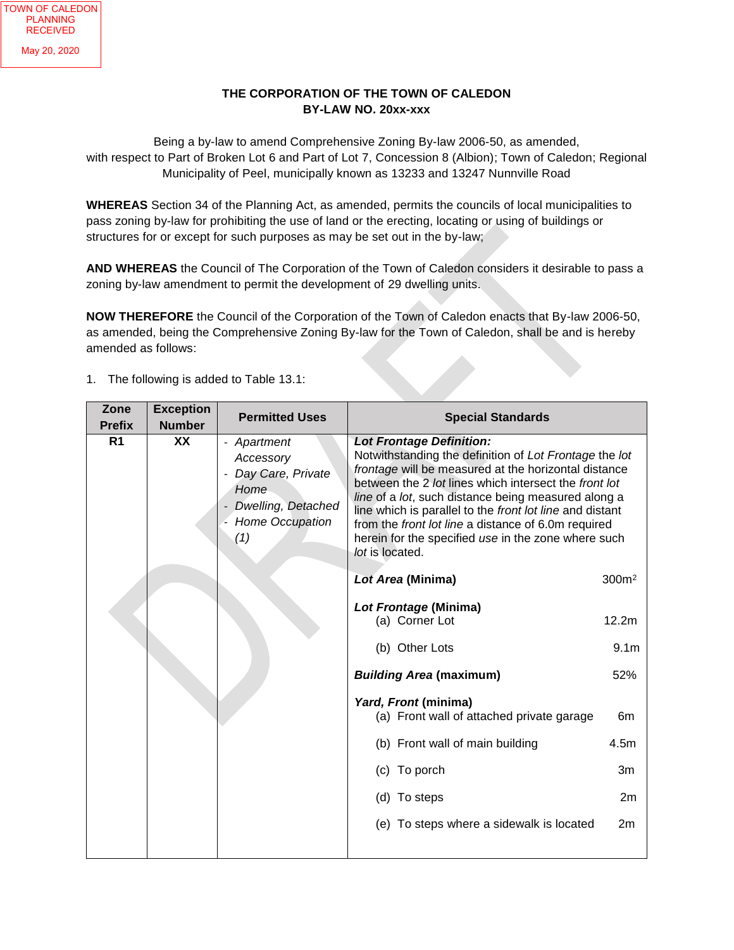## **THE CORPORATION OF THE TOWN OF CALEDON BY-LAW NO. 20xx-xxx**

Being a by-law to amend Comprehensive Zoning By-law 2006-50, as amended, with respect to Part of Broken Lot 6 and Part of Lot 7, Concession 8 (Albion); Town of Caledon; Regional Municipality of Peel, municipally known as 13233 and 13247 Nunnville Road

**WHEREAS** Section 34 of the Planning Act, as amended, permits the councils of local municipalities to pass zoning by-law for prohibiting the use of land or the erecting, locating or using of buildings or structures for or except for such purposes as may be set out in the by-law;

**AND WHEREAS** the Council of The Corporation of the Town of Caledon considers it desirable to pass a zoning by-law amendment to permit the development of 29 dwelling units.

**NOW THEREFORE** the Council of the Corporation of the Town of Caledon enacts that By-law 2006-50, as amended, being the Comprehensive Zoning By-law for the Town of Caledon, shall be and is hereby amended as follows:

| Zone<br><b>Prefix</b> | <b>Exception</b><br><b>Number</b> | <b>Permitted Uses</b>                                                                                        | <b>Special Standards</b>                                                                                                                                                                                                                                                                                                                                                                                                                                       |                   |
|-----------------------|-----------------------------------|--------------------------------------------------------------------------------------------------------------|----------------------------------------------------------------------------------------------------------------------------------------------------------------------------------------------------------------------------------------------------------------------------------------------------------------------------------------------------------------------------------------------------------------------------------------------------------------|-------------------|
| R <sub>1</sub>        | XX                                | - Apartment<br>Accessory<br>Day Care, Private<br>Home<br>Dwelling, Detached<br><b>Home Occupation</b><br>(1) | <b>Lot Frontage Definition:</b><br>Notwithstanding the definition of Lot Frontage the lot<br>frontage will be measured at the horizontal distance<br>between the 2 lot lines which intersect the front lot<br>line of a lot, such distance being measured along a<br>line which is parallel to the front lot line and distant<br>from the front lot line a distance of 6.0m required<br>herein for the specified use in the zone where such<br>lot is located. |                   |
|                       |                                   |                                                                                                              | Lot Area (Minima)                                                                                                                                                                                                                                                                                                                                                                                                                                              | 300 <sup>m²</sup> |
|                       |                                   |                                                                                                              | Lot Frontage (Minima)<br>(a) Corner Lot                                                                                                                                                                                                                                                                                                                                                                                                                        | 12.2m             |
|                       |                                   |                                                                                                              | (b) Other Lots                                                                                                                                                                                                                                                                                                                                                                                                                                                 | 9.1 <sub>m</sub>  |
|                       |                                   |                                                                                                              | <b>Building Area (maximum)</b>                                                                                                                                                                                                                                                                                                                                                                                                                                 | 52%               |
|                       |                                   |                                                                                                              | Yard, Front (minima)<br>(a) Front wall of attached private garage                                                                                                                                                                                                                                                                                                                                                                                              | 6m                |
|                       |                                   |                                                                                                              | (b) Front wall of main building                                                                                                                                                                                                                                                                                                                                                                                                                                | 4.5m              |
|                       |                                   |                                                                                                              | (c) To porch                                                                                                                                                                                                                                                                                                                                                                                                                                                   | 3m                |
|                       |                                   |                                                                                                              | (d) To steps                                                                                                                                                                                                                                                                                                                                                                                                                                                   | 2m                |
|                       |                                   |                                                                                                              | (e) To steps where a sidewalk is located                                                                                                                                                                                                                                                                                                                                                                                                                       | 2m                |

1. The following is added to Table 13.1: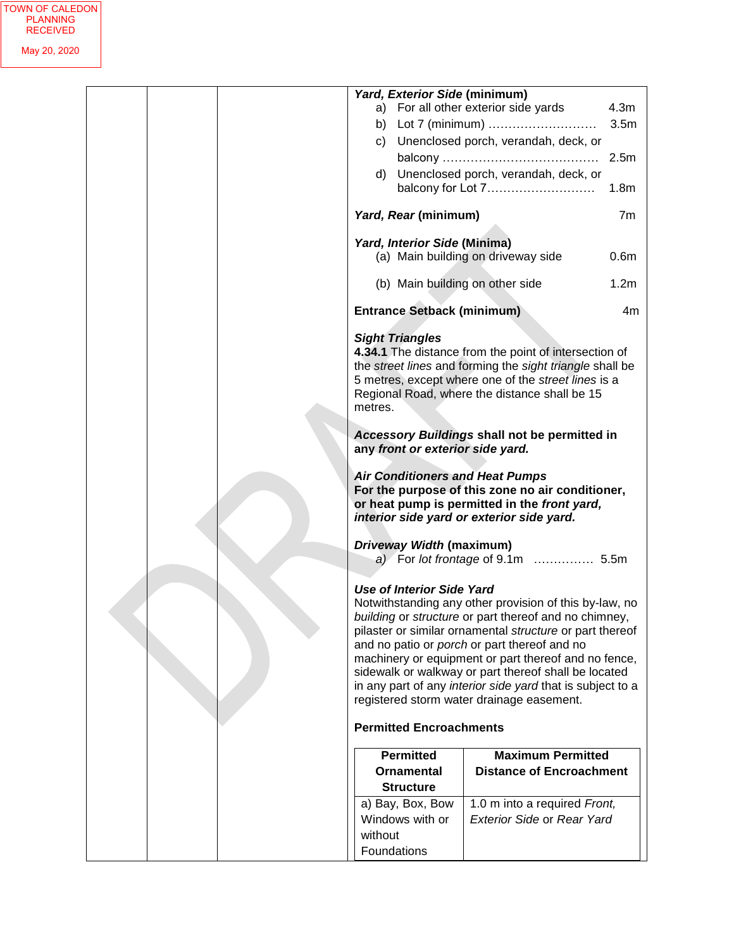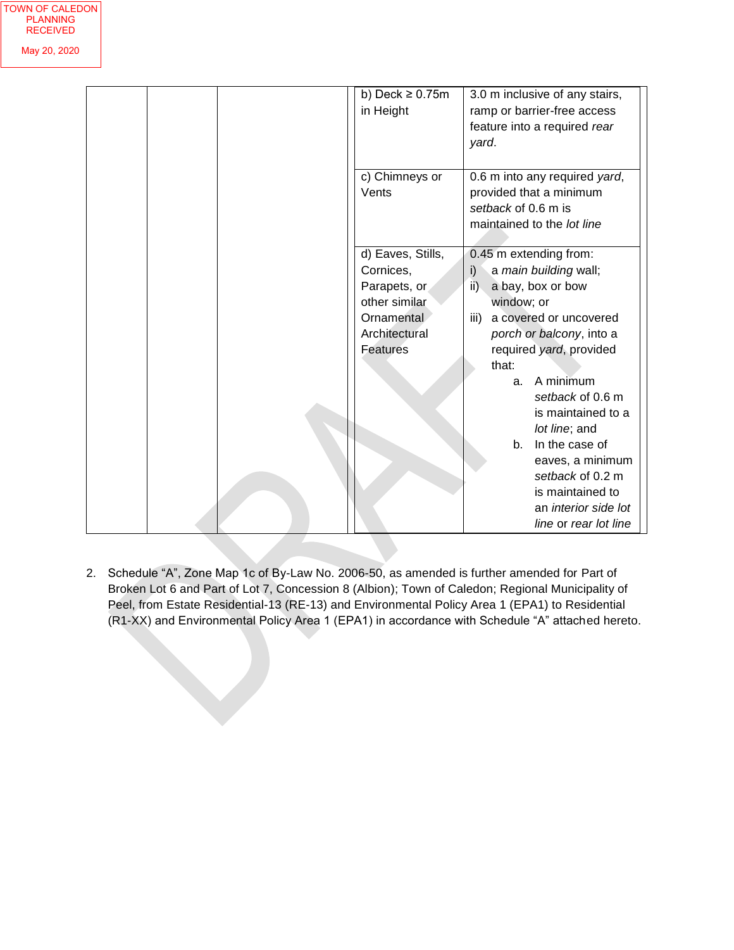|  | b) Deck $\geq 0.75$ m<br>in Height | 3.0 m inclusive of any stairs,<br>ramp or barrier-free access<br>feature into a required rear<br>yard.        |  |
|--|------------------------------------|---------------------------------------------------------------------------------------------------------------|--|
|  | c) Chimneys or<br>Vents            | 0.6 m into any required yard,<br>provided that a minimum<br>setback of 0.6 m is<br>maintained to the lot line |  |
|  | d) Eaves, Stills,<br>Cornices,     | 0.45 m extending from:<br>i)<br>a main building wall;                                                         |  |
|  | Parapets, or<br>other similar      | ii)<br>a bay, box or bow<br>window; or                                                                        |  |
|  | Ornamental<br>Architectural        | a covered or uncovered<br>iii)<br>porch or balcony, into a                                                    |  |
|  | <b>Features</b>                    | required yard, provided<br>that:<br>A minimum<br>a.                                                           |  |
|  |                                    | setback of 0.6 m<br>is maintained to a<br>lot line; and                                                       |  |
|  |                                    | In the case of<br>b <sub>1</sub><br>eaves, a minimum<br>setback of 0.2 m                                      |  |
|  |                                    | is maintained to<br>an <i>interior</i> side lot<br>line or rear lot line                                      |  |

2. Schedule "A", Zone Map 1c of By-Law No. 2006-50, as amended is further amended for Part of Broken Lot 6 and Part of Lot 7, Concession 8 (Albion); Town of Caledon; Regional Municipality of Peel, from Estate Residential-13 (RE-13) and Environmental Policy Area 1 (EPA1) to Residential (R1-XX) and Environmental Policy Area 1 (EPA1) in accordance with Schedule "A" attached hereto.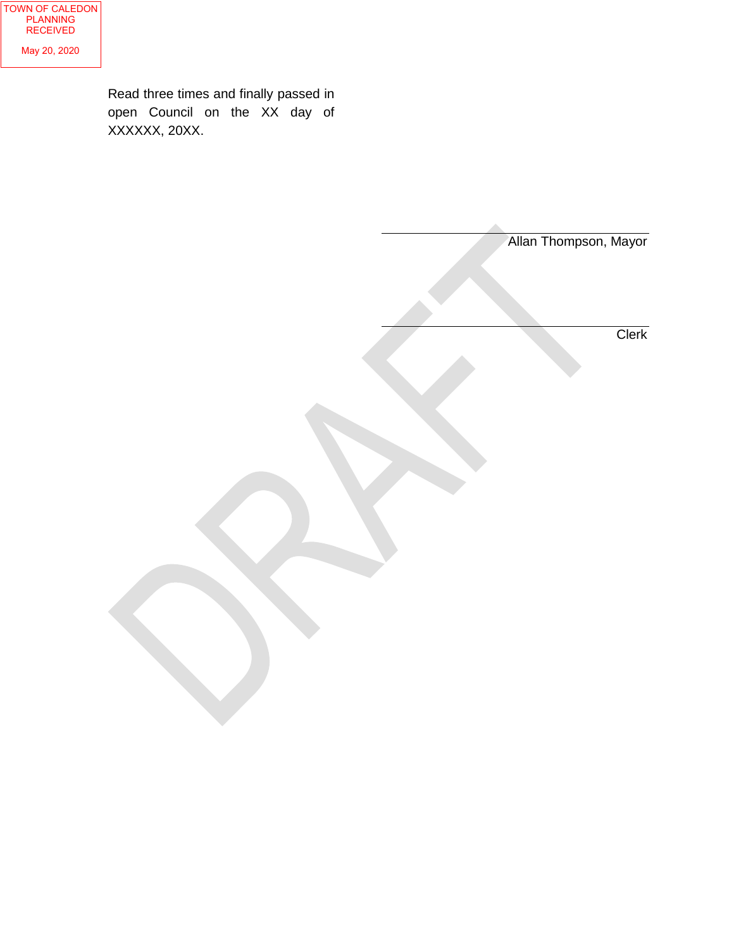Read three times and finally passed in open Council on the XX day of XXXXXX, 20XX.

|  | Allan Thompson, Mayor |
|--|-----------------------|
|  |                       |
|  |                       |
|  |                       |
|  | Clerk                 |
|  |                       |
|  |                       |
|  |                       |
|  |                       |
|  |                       |
|  |                       |
|  |                       |
|  |                       |
|  |                       |
|  |                       |
|  |                       |
|  |                       |
|  |                       |
|  |                       |
|  |                       |
|  |                       |
|  |                       |
|  |                       |
|  |                       |
|  |                       |